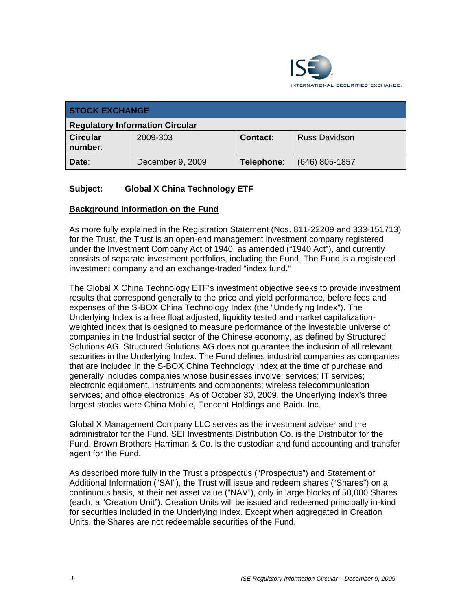

| <b>STOCK EXCHANGE</b>                  |                  |            |                      |  |  |
|----------------------------------------|------------------|------------|----------------------|--|--|
| <b>Regulatory Information Circular</b> |                  |            |                      |  |  |
| <b>Circular</b><br>number:             | 2009-303         | Contact:   | <b>Russ Davidson</b> |  |  |
| Date:                                  | December 9, 2009 | Telephone: | $(646)$ 805-1857     |  |  |

## **Subject: Global X China Technology ETF**

#### **Background Information on the Fund**

As more fully explained in the Registration Statement (Nos. 811-22209 and 333-151713) for the Trust, the Trust is an open-end management investment company registered under the Investment Company Act of 1940, as amended ("1940 Act"), and currently consists of separate investment portfolios, including the Fund. The Fund is a registered investment company and an exchange-traded "index fund."

The Global X China Technology ETF's investment objective seeks to provide investment results that correspond generally to the price and yield performance, before fees and expenses of the S-BOX China Technology Index (the "Underlying Index"). The Underlying Index is a free float adjusted, liquidity tested and market capitalizationweighted index that is designed to measure performance of the investable universe of companies in the Industrial sector of the Chinese economy, as defined by Structured Solutions AG. Structured Solutions AG does not guarantee the inclusion of all relevant securities in the Underlying Index. The Fund defines industrial companies as companies that are included in the S-BOX China Technology Index at the time of purchase and generally includes companies whose businesses involve: services; IT services; electronic equipment, instruments and components; wireless telecommunication services; and office electronics. As of October 30, 2009, the Underlying Index's three largest stocks were China Mobile, Tencent Holdings and Baidu Inc.

Global X Management Company LLC serves as the investment adviser and the administrator for the Fund. SEI Investments Distribution Co. is the Distributor for the Fund. Brown Brothers Harriman & Co. is the custodian and fund accounting and transfer agent for the Fund.

As described more fully in the Trust's prospectus ("Prospectus") and Statement of Additional Information ("SAI"), the Trust will issue and redeem shares ("Shares") on a continuous basis, at their net asset value ("NAV"), only in large blocks of 50,000 Shares (each, a "Creation Unit"). Creation Units will be issued and redeemed principally in-kind for securities included in the Underlying Index. Except when aggregated in Creation Units, the Shares are not redeemable securities of the Fund.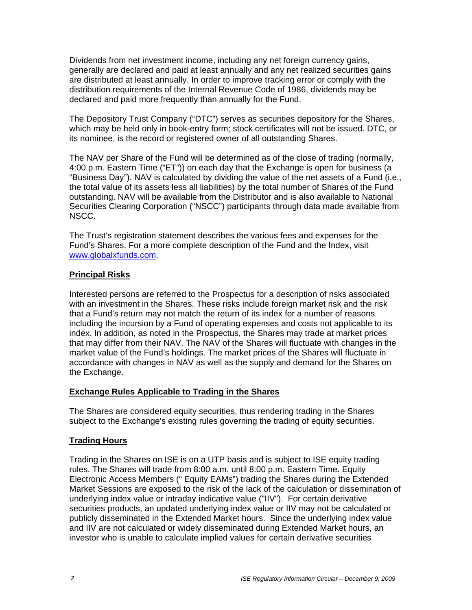Dividends from net investment income, including any net foreign currency gains, generally are declared and paid at least annually and any net realized securities gains are distributed at least annually. In order to improve tracking error or comply with the distribution requirements of the Internal Revenue Code of 1986, dividends may be declared and paid more frequently than annually for the Fund.

The Depository Trust Company ("DTC") serves as securities depository for the Shares, which may be held only in book-entry form; stock certificates will not be issued. DTC, or its nominee, is the record or registered owner of all outstanding Shares.

The NAV per Share of the Fund will be determined as of the close of trading (normally, 4:00 p.m. Eastern Time ("ET")) on each day that the Exchange is open for business (a "Business Day"). NAV is calculated by dividing the value of the net assets of a Fund (i.e., the total value of its assets less all liabilities) by the total number of Shares of the Fund outstanding. NAV will be available from the Distributor and is also available to National Securities Clearing Corporation ("NSCC") participants through data made available from NSCC.

The Trust's registration statement describes the various fees and expenses for the Fund's Shares. For a more complete description of the Fund and the Index, visit www.globalxfunds.com.

#### **Principal Risks**

Interested persons are referred to the Prospectus for a description of risks associated with an investment in the Shares. These risks include foreign market risk and the risk that a Fund's return may not match the return of its index for a number of reasons including the incursion by a Fund of operating expenses and costs not applicable to its index. In addition, as noted in the Prospectus, the Shares may trade at market prices that may differ from their NAV. The NAV of the Shares will fluctuate with changes in the market value of the Fund's holdings. The market prices of the Shares will fluctuate in accordance with changes in NAV as well as the supply and demand for the Shares on the Exchange.

#### **Exchange Rules Applicable to Trading in the Shares**

The Shares are considered equity securities, thus rendering trading in the Shares subject to the Exchange's existing rules governing the trading of equity securities.

# **Trading Hours**

Trading in the Shares on ISE is on a UTP basis and is subject to ISE equity trading rules. The Shares will trade from 8:00 a.m. until 8:00 p.m. Eastern Time. Equity Electronic Access Members (" Equity EAMs") trading the Shares during the Extended Market Sessions are exposed to the risk of the lack of the calculation or dissemination of underlying index value or intraday indicative value ("IIV"). For certain derivative securities products, an updated underlying index value or IIV may not be calculated or publicly disseminated in the Extended Market hours. Since the underlying index value and IIV are not calculated or widely disseminated during Extended Market hours, an investor who is unable to calculate implied values for certain derivative securities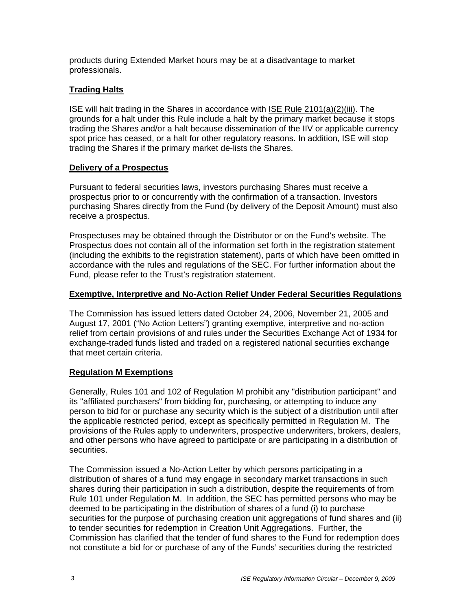products during Extended Market hours may be at a disadvantage to market professionals.

# **Trading Halts**

ISE will halt trading in the Shares in accordance with ISE Rule 2101(a)(2)(iii). The grounds for a halt under this Rule include a halt by the primary market because it stops trading the Shares and/or a halt because dissemination of the IIV or applicable currency spot price has ceased, or a halt for other regulatory reasons. In addition, ISE will stop trading the Shares if the primary market de-lists the Shares.

## **Delivery of a Prospectus**

Pursuant to federal securities laws, investors purchasing Shares must receive a prospectus prior to or concurrently with the confirmation of a transaction. Investors purchasing Shares directly from the Fund (by delivery of the Deposit Amount) must also receive a prospectus.

Prospectuses may be obtained through the Distributor or on the Fund's website. The Prospectus does not contain all of the information set forth in the registration statement (including the exhibits to the registration statement), parts of which have been omitted in accordance with the rules and regulations of the SEC. For further information about the Fund, please refer to the Trust's registration statement.

## **Exemptive, Interpretive and No-Action Relief Under Federal Securities Regulations**

The Commission has issued letters dated October 24, 2006, November 21, 2005 and August 17, 2001 ("No Action Letters") granting exemptive, interpretive and no-action relief from certain provisions of and rules under the Securities Exchange Act of 1934 for exchange-traded funds listed and traded on a registered national securities exchange that meet certain criteria.

# **Regulation M Exemptions**

Generally, Rules 101 and 102 of Regulation M prohibit any "distribution participant" and its "affiliated purchasers" from bidding for, purchasing, or attempting to induce any person to bid for or purchase any security which is the subject of a distribution until after the applicable restricted period, except as specifically permitted in Regulation M. The provisions of the Rules apply to underwriters, prospective underwriters, brokers, dealers, and other persons who have agreed to participate or are participating in a distribution of securities.

The Commission issued a No-Action Letter by which persons participating in a distribution of shares of a fund may engage in secondary market transactions in such shares during their participation in such a distribution, despite the requirements of from Rule 101 under Regulation M. In addition, the SEC has permitted persons who may be deemed to be participating in the distribution of shares of a fund (i) to purchase securities for the purpose of purchasing creation unit aggregations of fund shares and (ii) to tender securities for redemption in Creation Unit Aggregations. Further, the Commission has clarified that the tender of fund shares to the Fund for redemption does not constitute a bid for or purchase of any of the Funds' securities during the restricted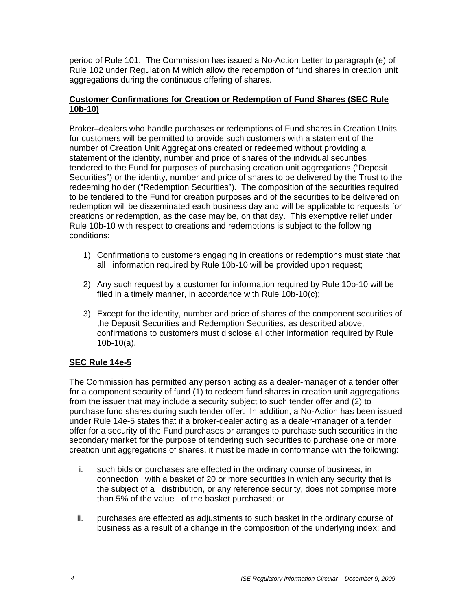period of Rule 101. The Commission has issued a No-Action Letter to paragraph (e) of Rule 102 under Regulation M which allow the redemption of fund shares in creation unit aggregations during the continuous offering of shares.

## **Customer Confirmations for Creation or Redemption of Fund Shares (SEC Rule 10b-10)**

Broker–dealers who handle purchases or redemptions of Fund shares in Creation Units for customers will be permitted to provide such customers with a statement of the number of Creation Unit Aggregations created or redeemed without providing a statement of the identity, number and price of shares of the individual securities tendered to the Fund for purposes of purchasing creation unit aggregations ("Deposit Securities") or the identity, number and price of shares to be delivered by the Trust to the redeeming holder ("Redemption Securities"). The composition of the securities required to be tendered to the Fund for creation purposes and of the securities to be delivered on redemption will be disseminated each business day and will be applicable to requests for creations or redemption, as the case may be, on that day. This exemptive relief under Rule 10b-10 with respect to creations and redemptions is subject to the following conditions:

- 1) Confirmations to customers engaging in creations or redemptions must state that all information required by Rule 10b-10 will be provided upon request;
- 2) Any such request by a customer for information required by Rule 10b-10 will be filed in a timely manner, in accordance with Rule 10b-10(c);
- 3) Except for the identity, number and price of shares of the component securities of the Deposit Securities and Redemption Securities, as described above, confirmations to customers must disclose all other information required by Rule 10b-10(a).

# **SEC Rule 14e-5**

The Commission has permitted any person acting as a dealer-manager of a tender offer for a component security of fund (1) to redeem fund shares in creation unit aggregations from the issuer that may include a security subject to such tender offer and (2) to purchase fund shares during such tender offer. In addition, a No-Action has been issued under Rule 14e-5 states that if a broker-dealer acting as a dealer-manager of a tender offer for a security of the Fund purchases or arranges to purchase such securities in the secondary market for the purpose of tendering such securities to purchase one or more creation unit aggregations of shares, it must be made in conformance with the following:

- i. such bids or purchases are effected in the ordinary course of business, in connection with a basket of 20 or more securities in which any security that is the subject of a distribution, or any reference security, does not comprise more than 5% of the value of the basket purchased; or
- ii. purchases are effected as adjustments to such basket in the ordinary course of business as a result of a change in the composition of the underlying index; and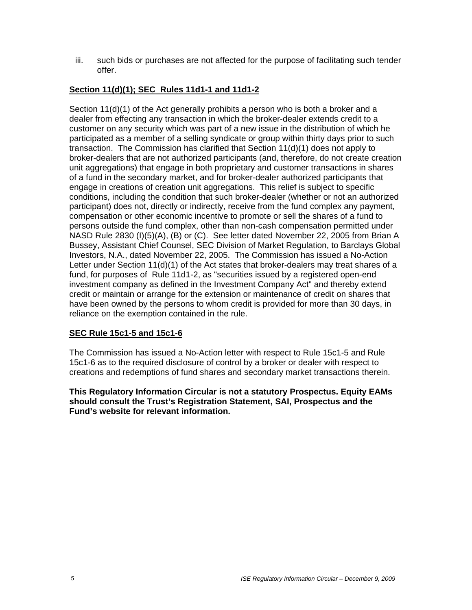iii. such bids or purchases are not affected for the purpose of facilitating such tender offer.

# **Section 11(d)(1); SEC Rules 11d1-1 and 11d1-2**

Section 11(d)(1) of the Act generally prohibits a person who is both a broker and a dealer from effecting any transaction in which the broker-dealer extends credit to a customer on any security which was part of a new issue in the distribution of which he participated as a member of a selling syndicate or group within thirty days prior to such transaction. The Commission has clarified that Section 11(d)(1) does not apply to broker-dealers that are not authorized participants (and, therefore, do not create creation unit aggregations) that engage in both proprietary and customer transactions in shares of a fund in the secondary market, and for broker-dealer authorized participants that engage in creations of creation unit aggregations. This relief is subject to specific conditions, including the condition that such broker-dealer (whether or not an authorized participant) does not, directly or indirectly, receive from the fund complex any payment, compensation or other economic incentive to promote or sell the shares of a fund to persons outside the fund complex, other than non-cash compensation permitted under NASD Rule 2830 (I)(5)(A), (B) or (C). See letter dated November 22, 2005 from Brian A Bussey, Assistant Chief Counsel, SEC Division of Market Regulation, to Barclays Global Investors, N.A., dated November 22, 2005. The Commission has issued a No-Action Letter under Section 11(d)(1) of the Act states that broker-dealers may treat shares of a fund, for purposes of Rule 11d1-2, as "securities issued by a registered open-end investment company as defined in the Investment Company Act" and thereby extend credit or maintain or arrange for the extension or maintenance of credit on shares that have been owned by the persons to whom credit is provided for more than 30 days, in reliance on the exemption contained in the rule.

#### **SEC Rule 15c1-5 and 15c1-6**

The Commission has issued a No-Action letter with respect to Rule 15c1-5 and Rule 15c1-6 as to the required disclosure of control by a broker or dealer with respect to creations and redemptions of fund shares and secondary market transactions therein.

**This Regulatory Information Circular is not a statutory Prospectus. Equity EAMs should consult the Trust's Registration Statement, SAI, Prospectus and the Fund's website for relevant information.**